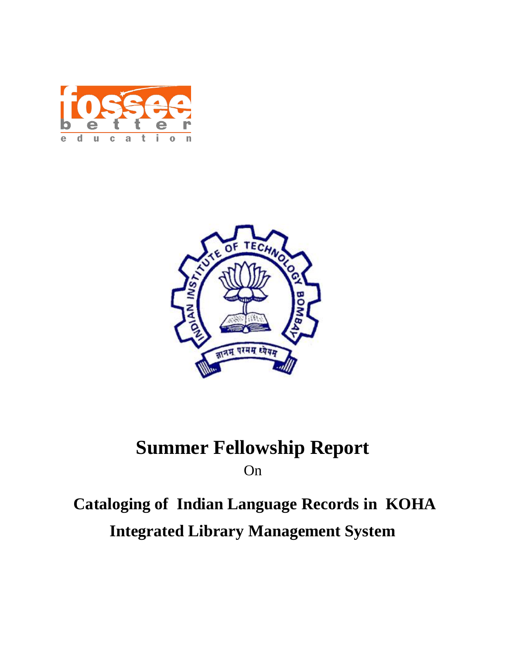



# **Summer Fellowship Report**

On

# **Cataloging of Indian Language Records in KOHA Integrated Library Management System**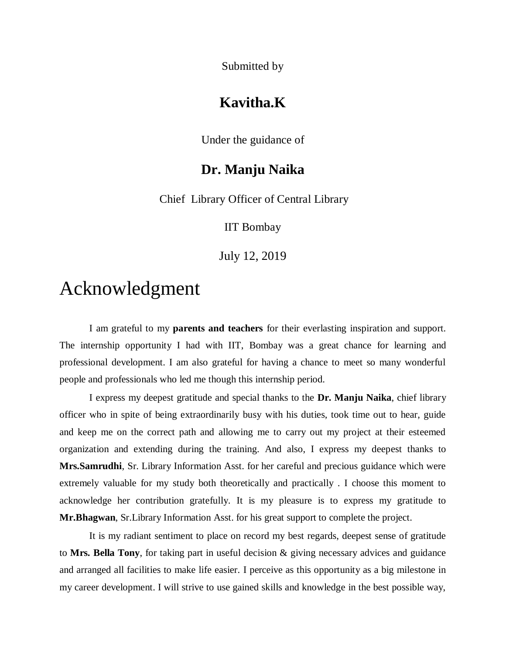Submitted by

### **Kavitha.K**

Under the guidance of

### **Dr. Manju Naika**

Chief Library Officer of Central Library

IIT Bombay

July 12, 2019

# Acknowledgment

I am grateful to my **parents and teachers** for their everlasting inspiration and support. The internship opportunity I had with IIT, Bombay was a great chance for learning and professional development. I am also grateful for having a chance to meet so many wonderful people and professionals who led me though this internship period.

I express my deepest gratitude and special thanks to the **Dr. Manju Naika**, chief library officer who in spite of being extraordinarily busy with his duties, took time out to hear, guide and keep me on the correct path and allowing me to carry out my project at their esteemed organization and extending during the training. And also, I express my deepest thanks to **Mrs.Samrudhi**, Sr. Library Information Asst. for her careful and precious guidance which were extremely valuable for my study both theoretically and practically . I choose this moment to acknowledge her contribution gratefully. It is my pleasure is to express my gratitude to **Mr.Bhagwan**, Sr.Library Information Asst. for his great support to complete the project.

It is my radiant sentiment to place on record my best regards, deepest sense of gratitude to **Mrs. Bella Tony**, for taking part in useful decision & giving necessary advices and guidance and arranged all facilities to make life easier. I perceive as this opportunity as a big milestone in my career development. I will strive to use gained skills and knowledge in the best possible way,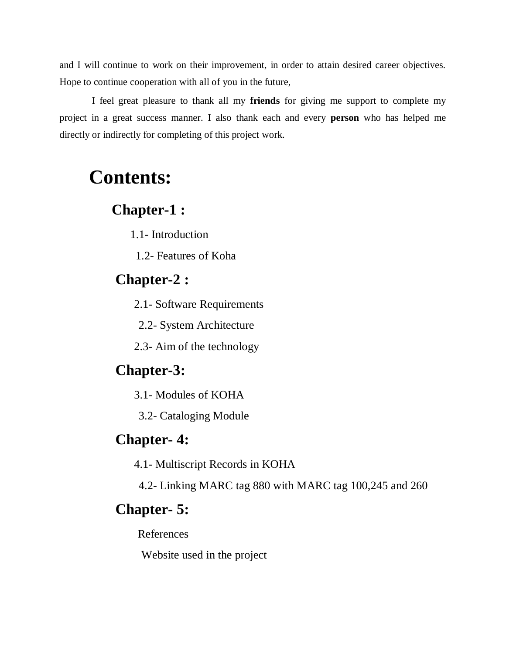and I will continue to work on their improvement, in order to attain desired career objectives. Hope to continue cooperation with all of you in the future,

I feel great pleasure to thank all my **friends** for giving me support to complete my project in a great success manner. I also thank each and every **person** who has helped me directly or indirectly for completing of this project work.

# **Contents:**

### **Chapter-1 :**

1.1- Introduction

1.2- Features of Koha

## **Chapter-2 :**

2.1- Software Requirements

2.2- System Architecture

2.3- Aim of the technology

# **Chapter-3:**

3.1- Modules of KOHA

3.2- Cataloging Module

### **Chapter- 4:**

4.1- Multiscript Records in KOHA

4.2- Linking MARC tag 880 with MARC tag 100,245 and 260

## **Chapter- 5:**

References

Website used in the project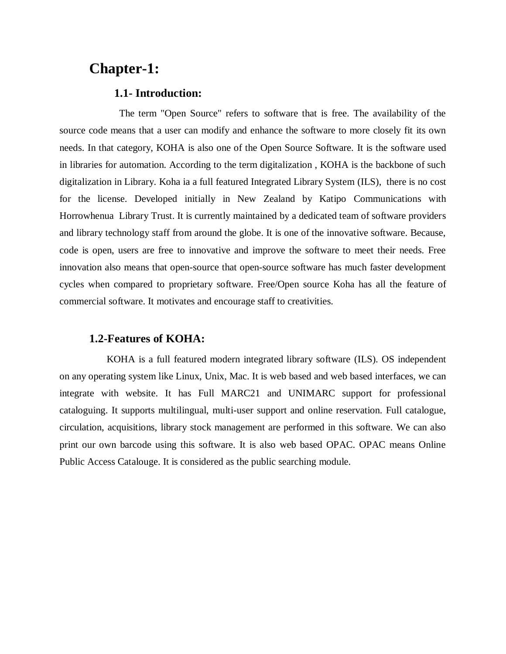# **Chapter-1:**

#### **1.1- Introduction:**

 The term "Open Source" refers to software that is free. The availability of the source code means that a user can modify and enhance the software to more closely fit its own needs. In that category, KOHA is also one of the Open Source Software. It is the software used in libraries for automation. According to the term digitalization , KOHA is the backbone of such digitalization in Library. Koha ia a full featured Integrated Library System (ILS), there is no cost for the license. Developed initially in New Zealand by Katipo Communications with Horrowhenua Library Trust. It is currently maintained by a dedicated team of software providers and library technology staff from around the globe. It is one of the innovative software. Because, code is open, users are free to innovative and improve the software to meet their needs. Free innovation also means that open-source that open-source software has much faster development cycles when compared to proprietary software. Free/Open source Koha has all the feature of commercial software. It motivates and encourage staff to creativities.

#### **1.2-Features of KOHA:**

 KOHA is a full featured modern integrated library software (ILS). OS independent on any operating system like Linux, Unix, Mac. It is web based and web based interfaces, we can integrate with website. It has Full MARC21 and UNIMARC support for professional cataloguing. It supports multilingual, multi-user support and online reservation. Full catalogue, circulation, acquisitions, library stock management are performed in this software. We can also print our own barcode using this software. It is also web based OPAC. OPAC means Online Public Access Catalouge. It is considered as the public searching module.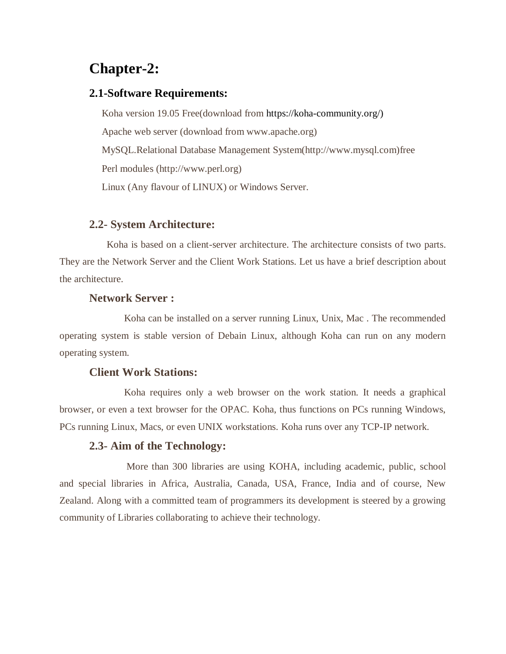# **Chapter-2:**

#### **2.1-Software Requirements:**

 Koha version 19.05 Free(download from https://koha-community.org/) Apache web server (download from www.apache.org) MySQL.Relational Database Management System(http://www.mysql.com)free Perl modules (http://www.perl.org) Linux (Any flavour of LINUX) or Windows Server.

#### **2.2- System Architecture:**

 Koha is based on a client-server architecture. The architecture consists of two parts. They are the Network Server and the Client Work Stations. Let us have a brief description about the architecture.

#### **Network Server :**

 Koha can be installed on a server running Linux, Unix, Mac . The recommended operating system is stable version of Debain Linux, although Koha can run on any modern operating system.

#### **Client Work Stations:**

 Koha requires only a web browser on the work station. It needs a graphical browser, or even a text browser for the OPAC. Koha, thus functions on PCs running Windows, PCs running Linux, Macs, or even UNIX workstations. Koha runs over any TCP-IP network.

#### **2.3- Aim of the Technology:**

 More than 300 libraries are using KOHA, including academic, public, school and special libraries in Africa, Australia, Canada, USA, France, India and of course, New Zealand. Along with a committed team of programmers its development is steered by a growing community of Libraries collaborating to achieve their technology.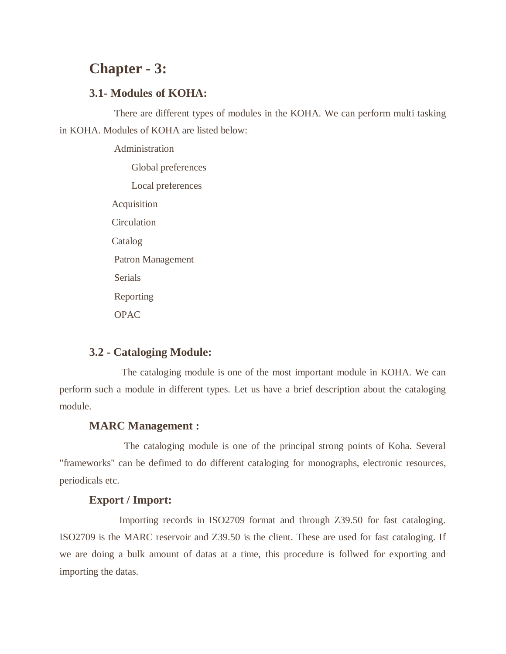# **Chapter - 3:**

#### **3.1- Modules of KOHA:**

 There are different types of modules in the KOHA. We can perform multi tasking in KOHA. Modules of KOHA are listed below:

> Administration Global preferences Local preferences Acquisition **Circulation**  Catalog Patron Management Serials Reporting OPAC

#### **3.2 - Cataloging Module:**

 The cataloging module is one of the most important module in KOHA. We can perform such a module in different types. Let us have a brief description about the cataloging module.

#### **MARC Management :**

 The cataloging module is one of the principal strong points of Koha. Several "frameworks" can be defimed to do different cataloging for monographs, electronic resources, periodicals etc.

#### **Export / Import:**

 Importing records in ISO2709 format and through Z39.50 for fast cataloging. ISO2709 is the MARC reservoir and Z39.50 is the client. These are used for fast cataloging. If we are doing a bulk amount of datas at a time, this procedure is follwed for exporting and importing the datas.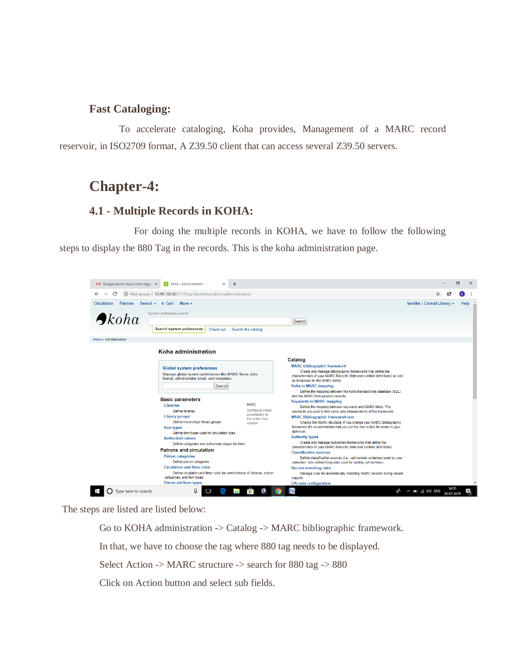#### **Fast Cataloging:**

 To accelerate cataloging, Koha provides, Management of a MARC record reservoir, in ISO2709 format, A Z39.50 client that can access several Z39.50 servers.

### **Chapter-4:**

#### **4.1 - Multiple Records in KOHA:**

 For doing the multiple records in KOHA, we have to follow the following steps to display the 880 Tag in the records. This is the koha administration page.



The steps are listed are listed below:

Go to KOHA administration -> Catalog -> MARC bibliographic framework.

In that, we have to choose the tag where 880 tag needs to be displayed.

Select Action -> MARC structure -> search for 880 tag -> 880

Click on Action button and select sub fields.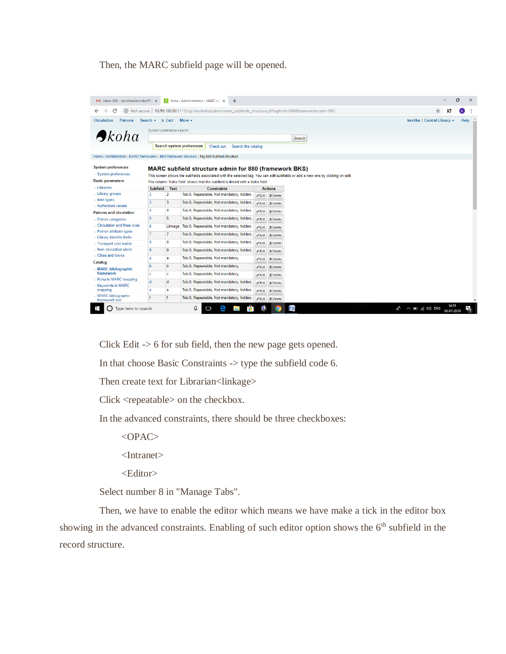Then, the MARC subfield page will be opened.

| M Inbox (88) - kavithakaikondan99 X                |                                                                 |                | Koha > Administration > MARC sull X<br>$\ddot{}$                                                                                                                                               |                            |                         |
|----------------------------------------------------|-----------------------------------------------------------------|----------------|------------------------------------------------------------------------------------------------------------------------------------------------------------------------------------------------|----------------------------|-------------------------|
| С                                                  |                                                                 |                | (i) Not secure   10.99.100.80:1111/cqi-bin/koha/admin/marc subfields structure.pl?taqfield=880&frameworkcode=BKS                                                                               |                            |                         |
| <b>Circulation</b><br><b>Patrons</b>               | Search $\div$ $\equiv$ Cart                                     |                | More $\sim$                                                                                                                                                                                    |                            |                         |
|                                                    | System preference search:                                       |                |                                                                                                                                                                                                |                            |                         |
| $\rightarrow$ koha                                 |                                                                 |                |                                                                                                                                                                                                |                            |                         |
|                                                    |                                                                 |                | Search system preferences<br>Check out<br>Search the catalog                                                                                                                                   |                            |                         |
|                                                    |                                                                 |                |                                                                                                                                                                                                |                            |                         |
|                                                    |                                                                 |                | Home > Administration > MARC frameworks > BKS framework structure > Tag 880 Subfield structure                                                                                                 |                            |                         |
| <b>System preferences</b>                          |                                                                 |                |                                                                                                                                                                                                |                            |                         |
| > System preferences                               |                                                                 |                | <b>MARC</b> subfield structure admin for 880 (framework BKS)<br>This screen shows the subfields associated with the selected tag. You can edit subfields or add a new one by clicking on edit. |                            |                         |
| <b>Basic parameters</b>                            |                                                                 |                | The column 'Koha field' shows that the subfield is linked with a Koha field                                                                                                                    |                            |                         |
| Libraries                                          | <b>Subfield</b><br>Text<br><b>Constraints</b><br><b>Actions</b> |                |                                                                                                                                                                                                |                            |                         |
| > Library groups                                   | $\overline{2}$                                                  | $\overline{2}$ | Tab:8, Repeatable, Not mandatory, hidden,                                                                                                                                                      | $P$ Edit                   | <b><i>ff</i></b> Delete |
| > Item types                                       | $\overline{3}$                                                  | 3              | Tab:8, Repeatable, Not mandatory, hidden,                                                                                                                                                      | $P$ Edit                   | <b>tt</b> Delete        |
| > Authorized values                                | $\Delta$                                                        | 4              | Tab:8, Repeatable, Not mandatory, hidden,                                                                                                                                                      | $\ell$ Edit                | <b><i>tt</i></b> Delete |
| <b>Patrons and circulation</b>                     | 5                                                               | 5              | Tab:8, Repeatable, Not mandatory, hidden,                                                                                                                                                      |                            |                         |
| > Patron categories<br>Circulation and fines rules | 6                                                               |                |                                                                                                                                                                                                | $P$ Edit                   | m Delete                |
| > Patron attribute types                           |                                                                 |                | Linkage Tab:8, Repeatable, Not mandatory, hidden,                                                                                                                                              | $P$ Edit                   | <b><i>tt</i></b> Delete |
| <b>Library transfer limits</b>                     | 7                                                               | $\overline{7}$ | Tab:8, Repeatable, Not mandatory, hidden,                                                                                                                                                      | $P$ Edit                   | <b><i>t</i></b> Delete  |
| > Transport cost matrix                            | 8                                                               | 8              | Tab:8, Repeatable, Not mandatory, hidden,                                                                                                                                                      | $P$ Edit                   | m Delete                |
| $\rightarrow$ Item circulation alerts              | 9                                                               | 9              | Tab:8, Repeatable, Not mandatory, hidden,                                                                                                                                                      | $\blacktriangleright$ Edit | <b><i>tt</i></b> Delete |
| > Cities and towns                                 | a                                                               | a              | Tab:8, Repeatable, Not mandatory,                                                                                                                                                              | $\blacktriangleright$ Edit | <b><i>ff</i></b> Delete |
| Catalog                                            | b                                                               | b              | Tab:8, Repeatable, Not mandatory,                                                                                                                                                              | $\blacktriangleright$ Edit | <b>tt</b> Delete        |
| » MARC bibliographic<br>framework                  | c.                                                              | c              | Tab:8, Repeatable, Not mandatory,                                                                                                                                                              | $\ell$ Edit                | <b><i>tt</i></b> Delete |
| > Koha to MARC mapping                             | $\mathbf d$                                                     | d              | Tab:8, Repeatable, Not mandatory, hidden,                                                                                                                                                      | $P$ Edit                   | <b><i>ff</i></b> Delete |
| <b>Keywords to MARC</b><br>mapping                 | e                                                               | e              | Tab:8, Repeatable, Not mandatory, hidden,                                                                                                                                                      |                            |                         |
| » MARC bibliographic                               | f                                                               | Ŧ              | Tab:8, Repeatable, Not mandatory, hidden,                                                                                                                                                      | $P$ Edit                   | <b><i>tt</i></b> Delete |
| framework test                                     |                                                                 |                |                                                                                                                                                                                                | $P$ Edit                   | <b><i>t</i></b> Delete  |
| Type here to search                                |                                                                 |                | ⇩<br>H.                                                                                                                                                                                        |                            |                         |

Click Edit -> 6 for sub field, then the new page gets opened.

In that choose Basic Constraints -> type the subfield code 6.

Then create text for Librarian<linkage>

Click <repeatable> on the checkbox.

In the advanced constraints, there should be three checkboxes:

<OPAC>

<Intranet>

<Editor>

Select number 8 in "Manage Tabs".

 Then, we have to enable the editor which means we have make a tick in the editor box showing in the advanced constraints. Enabling of such editor option shows the  $6<sup>th</sup>$  subfield in the record structure.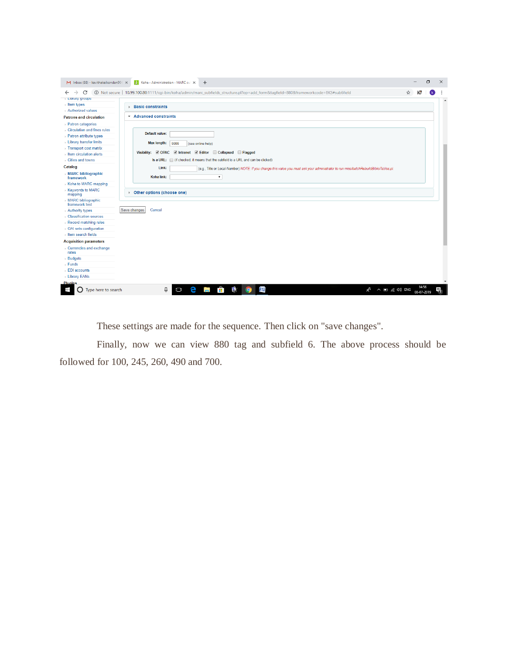

These settings are made for the sequence. Then click on "save changes".

 Finally, now we can view 880 tag and subfield 6. The above process should be followed for 100, 245, 260, 490 and 700.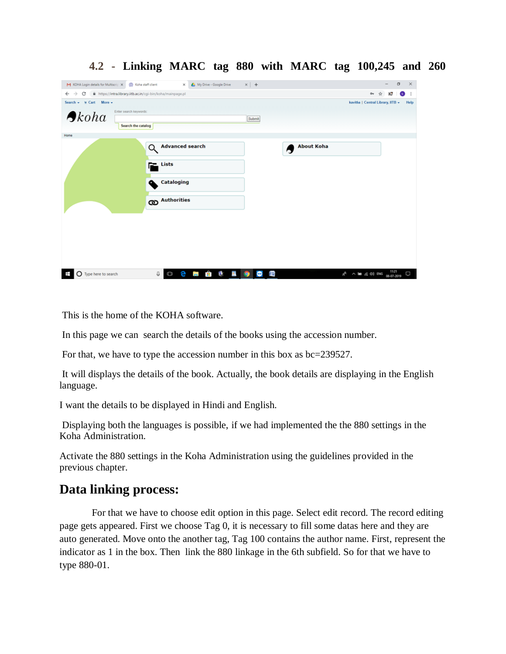|                                                                                                                  | M KOHA Login details for Multiscrip X (2) Koha staff client X X (2) My Drive - Google Drive | $\times$ +        | σ<br>$\mathsf{X}$                                                 |
|------------------------------------------------------------------------------------------------------------------|---------------------------------------------------------------------------------------------|-------------------|-------------------------------------------------------------------|
| $\leftarrow$ $\rightarrow$ $\mathbf{C}$ $\blacksquare$ https://intra.library.iitb.ac.in/cgi-bin/koha/mainpage.pl |                                                                                             |                   | ю<br>$\bullet$ :<br>$O_T$<br>☆                                    |
| Search - We Cart More -                                                                                          |                                                                                             |                   | kavitha   Central Library, IITB +<br>Help                         |
| Enter search keywords:<br>$\bigtriangleup$ koha                                                                  | Search the catalog                                                                          | Submit            |                                                                   |
| Home                                                                                                             |                                                                                             |                   |                                                                   |
|                                                                                                                  | <b>Advanced search</b><br>Q                                                                 | <b>About Koha</b> |                                                                   |
|                                                                                                                  | $\mathbf{L}$ Lists                                                                          |                   |                                                                   |
|                                                                                                                  | <b>Cataloging</b><br>o                                                                      |                   |                                                                   |
|                                                                                                                  | <b>CD</b> Authorities                                                                       |                   |                                                                   |
|                                                                                                                  |                                                                                             |                   |                                                                   |
| Ŧ<br>O Type here to search                                                                                       | $\mathbf{B}$ $\mathbf{B}$<br>$\Delta_{\rm S}$<br>e<br>Q.<br>Ō<br>$\sim$                     | 四<br>9<br>⊖       | $R^2 \sim 20$ (c) ENG $\frac{11:21}{08 \cdot 07 \cdot 2019}$<br>D |

#### **4.2 - Linking MARC tag 880 with MARC tag 100,245 and 260**

This is the home of the KOHA software.

In this page we can search the details of the books using the accession number.

For that, we have to type the accession number in this box as bc=239527.

It will displays the details of the book. Actually, the book details are displaying in the English language.

I want the details to be displayed in Hindi and English.

Displaying both the languages is possible, if we had implemented the the 880 settings in the Koha Administration.

Activate the 880 settings in the Koha Administration using the guidelines provided in the previous chapter.

### **Data linking process:**

 For that we have to choose edit option in this page. Select edit record. The record editing page gets appeared. First we choose Tag 0, it is necessary to fill some datas here and they are auto generated. Move onto the another tag, Tag 100 contains the author name. First, represent the indicator as 1 in the box. Then link the 880 linkage in the 6th subfield. So for that we have to type 880-01.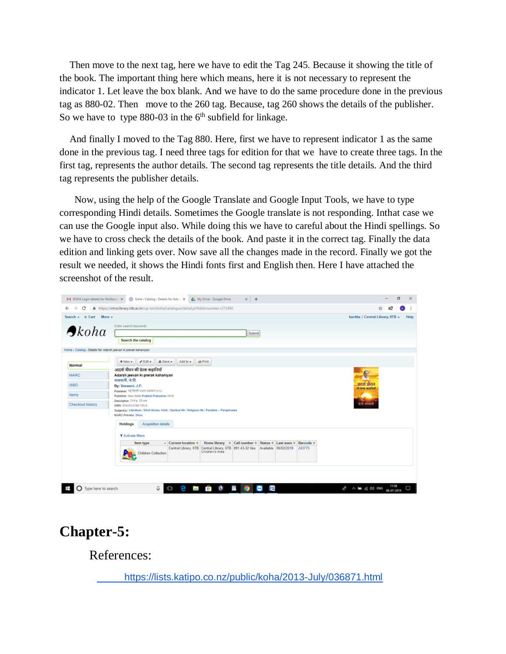Then move to the next tag, here we have to edit the Tag 245. Because it showing the title of the book. The important thing here which means, here it is not necessary to represent the indicator 1. Let leave the box blank. And we have to do the same procedure done in the previous tag as 880-02. Then move to the 260 tag. Because, tag 260 shows the details of the publisher. So we have to type  $880-03$  in the  $6<sup>th</sup>$  subfield for linkage.

 And finally I moved to the Tag 880. Here, first we have to represent indicator 1 as the same done in the previous tag. I need three tags for edition for that we have to create three tags. In the first tag, represents the author details. The second tag represents the title details. And the third tag represents the publisher details.

 Now, using the help of the Google Translate and Google Input Tools, we have to type corresponding Hindi details. Sometimes the Google translate is not responding. Inthat case we can use the Google input also. While doing this we have to careful about the Hindi spellings. So we have to cross check the details of the book. And paste it in the correct tag. Finally the data edition and linking gets over. Now save all the changes made in the record. Finally we got the result we needed, it shows the Hindi fonts first and English then. Here I have attached the screenshot of the result.

| Search = \mm Cart More = |                                                                                                           |                                   |                                                   |                                                                                |  |  |           | kavitha   Central Library, IITB + |  | Help |  |
|--------------------------|-----------------------------------------------------------------------------------------------------------|-----------------------------------|---------------------------------------------------|--------------------------------------------------------------------------------|--|--|-----------|-----------------------------------|--|------|--|
|                          | Enter search keywords:                                                                                    |                                   |                                                   |                                                                                |  |  |           |                                   |  |      |  |
| $\bigtriangleup$ koha    |                                                                                                           | Submit                            |                                                   |                                                                                |  |  |           |                                   |  |      |  |
|                          | Search the catalog                                                                                        |                                   |                                                   |                                                                                |  |  |           |                                   |  |      |  |
|                          | Home > Catalog > Details for Adarsh jeevan ki prerak kahaniyan                                            |                                   |                                                   |                                                                                |  |  |           |                                   |  |      |  |
|                          | $+$ New $ +$ Edit $ \pm$ Save $-$                                                                         | Add to -                          | <b>A</b> Print                                    |                                                                                |  |  |           |                                   |  |      |  |
| Normal                   | आदर्श जीवन की प्रेरक कहानियाँ                                                                             |                                   |                                                   |                                                                                |  |  |           |                                   |  |      |  |
| <b>MARC</b>              |                                                                                                           | Adarsh jeevan ki prerak kahaniyan |                                                   |                                                                                |  |  |           |                                   |  |      |  |
| ISBD                     | वासवानी, जे.पी.<br>By: Vaswani, J.P.                                                                      | आदर्श जीवन<br>wh three wordfoul   |                                                   |                                                                                |  |  |           |                                   |  |      |  |
| Items                    | Publisher: नई दिल्ली प्रभात प्रकाशन २०१८<br>Publisher: New Delhi Prabhat Prakashan 2018                   |                                   |                                                   |                                                                                |  |  |           |                                   |  |      |  |
| Checkout history         | Description: 214 p. 23 cm.<br>ISBN: 978-93-5186-755-5.                                                    |                                   |                                                   |                                                                                |  |  |           | skelt annund                      |  |      |  |
|                          | Subject(s): Literature   Short stories, Hindi   Spiritual life   Religious life   Parables -- Paraphrases |                                   |                                                   |                                                                                |  |  |           |                                   |  |      |  |
|                          | <b>MARC Preview: Show</b>                                                                                 |                                   |                                                   |                                                                                |  |  |           |                                   |  |      |  |
|                          | <b>Acquisition details</b><br><b>Holdings</b>                                                             |                                   |                                                   |                                                                                |  |  |           |                                   |  |      |  |
|                          | T Activate filters                                                                                        |                                   |                                                   |                                                                                |  |  |           |                                   |  |      |  |
|                          | Item type                                                                                                 | - Current location $\circ$        | Home library . Call number . Status . Last seen . |                                                                                |  |  | Barcode o |                                   |  |      |  |
|                          | <b>Children Collection</b>                                                                                |                                   | Children's Area                                   | Central Library, IITB Central Library, IITB 891.43-32 Vas Available 06/02/2019 |  |  | 243775    |                                   |  |      |  |
|                          |                                                                                                           |                                   |                                                   |                                                                                |  |  |           |                                   |  |      |  |

# **Chapter-5:**

References:

<https://lists.katipo.co.nz/public/koha/2013-July/036871.html>